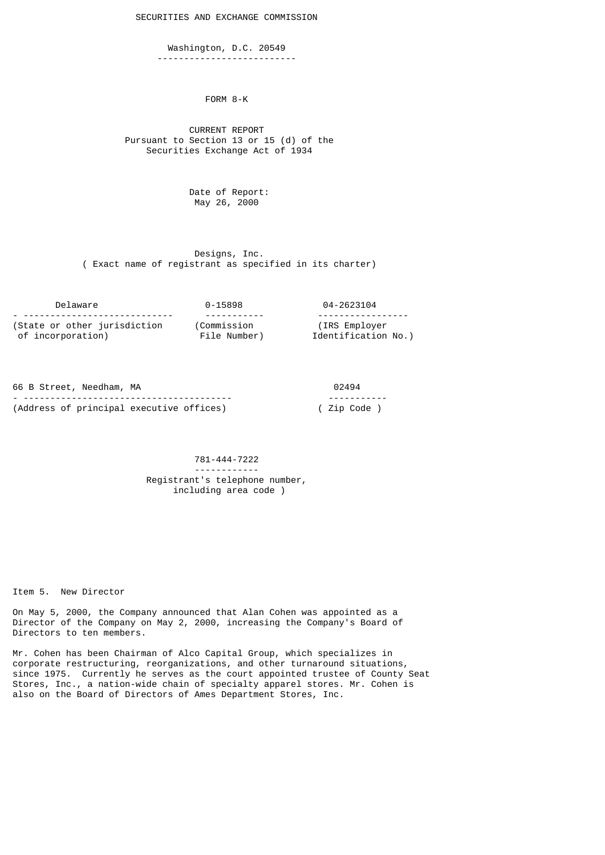SECURITIES AND EXCHANGE COMMISSION

 Washington, D.C. 20549 --------------------------

FORM 8-K

 CURRENT REPORT Pursuant to Section 13 or 15 (d) of the Securities Exchange Act of 1934

> Date of Report: May 26, 2000

 Designs, Inc. ( Exact name of registrant as specified in its charter)

| Delaware                        | 0-15898      | 04-2623104          |
|---------------------------------|--------------|---------------------|
| - ----------------------------- |              |                     |
| (State or other jurisdiction    | (Commission  | (IRS Employer)      |
| of incorporation)               | File Number) | Identification No.) |

| 66 B Street, Needham, MA                 | 02494       |
|------------------------------------------|-------------|
|                                          | ----------- |
| (Address of principal executive offices) | ( Zip Code  |

## 781-444-7222 ------------ Registrant's telephone number, including area code )

Item 5. New Director

On May 5, 2000, the Company announced that Alan Cohen was appointed as a Director of the Company on May 2, 2000, increasing the Company's Board of Directors to ten members.

Mr. Cohen has been Chairman of Alco Capital Group, which specializes in corporate restructuring, reorganizations, and other turnaround situations, since 1975. Currently he serves as the court appointed trustee of County Seat Stores, Inc., a nation-wide chain of specialty apparel stores. Mr. Cohen is also on the Board of Directors of Ames Department Stores, Inc.